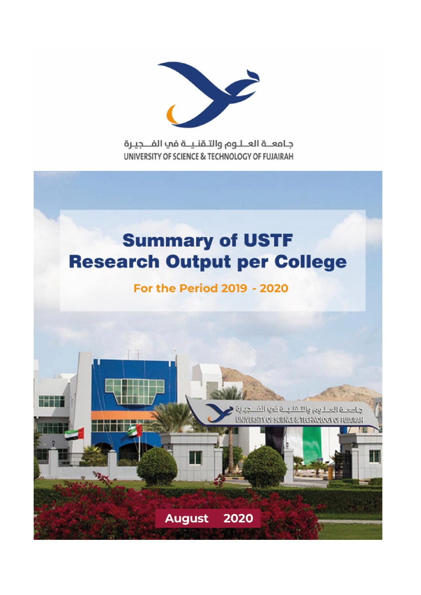

جامعــة العــلـوم والتـقنـيــة في الفـــجيـرة UNIVERSITY OF SCIENCE & TECHNOLOGY OF FUJAIRAH

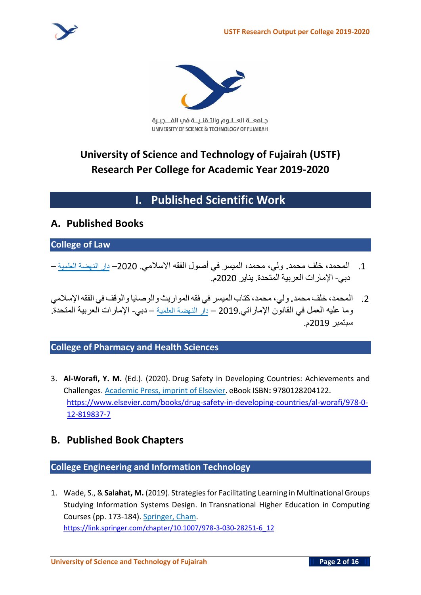

جامعــة العــلـوم والتـقنـيــة في الفــجيـرة UNIVERSITY OF SCIENCE & TECHNOLOGY OF FUJAIRAH

# **University of Science and Technology of Fujairah (USTF) Research Per College for Academic Year 2019-2020**

# **I. Published Scientific Work**

## **A. Published Books**

#### **College of Law**

- .1 **المحمد، خلف محمد. ولي، محمد، الميسر في أصول الفقه االسالمي**. 2020– **دار النهضة العلمية دبي**- **اإلمارات العربية المتحدة**. **يناير** 2020**م**.
- .2 **المحمد، خلف محمد. ولي، محمد،كتاب الميسر في فقهالمواريث والوصايا والوقف في الفقهاإلسالمي وما عليه العمل في القانون اإلماراتي** 2019. – **دار النهضة العلمية** – **دبي**- **اإلمارات العربية المتحدة** . **سبتمبر** 2019**م**.

#### **College of Pharmacy and Health Sciences**

3. **Al-Worafi, Y. M.** (Ed.). (2020). Drug Safety in Developing Countries: Achievements and Challenges. Academic Press, imprint of Elsevier. eBook ISBN**:** 9780128204122. [https://www.elsevier.com/books/drug-safety-in-developing-countries/al-worafi/978-0-](https://www.elsevier.com/books/drug-safety-in-developing-countries/al-worafi/978-0-12-819837-7) [12-819837-7](https://www.elsevier.com/books/drug-safety-in-developing-countries/al-worafi/978-0-12-819837-7)

## **B. Published Book Chapters**

### **College Engineering and Information Technology**

1. Wade, S., & **Salahat, M.** (2019). Strategies for Facilitating Learning in Multinational Groups Studying Information Systems Design. In Transnational Higher Education in Computing Courses (pp. 173-184). Springer, Cham. https://link.springer.com/chapter/10.1007/978-3-030-28251-6\_12

**University of Science and Technology of Fujairah** |I **Page 2 of 16 I|**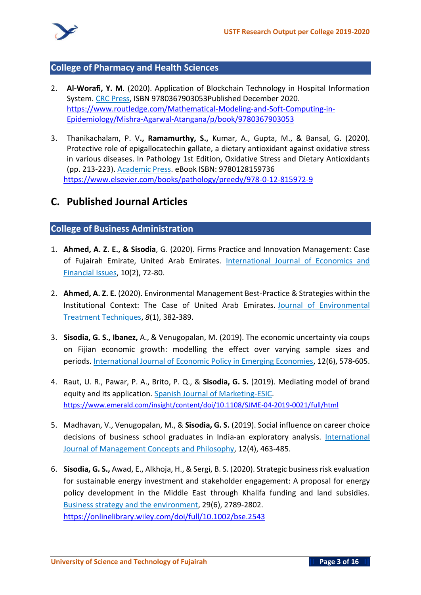

#### **College of Pharmacy and Health Sciences**

- 2. **Al-Worafi, Y. M**. (2020). Application of Blockchain Technology in Hospital Information System. CRC Press, ISBN 9780367903053Published December 2020. https://www.routledge.com/Mathematical-Modeling-and-Soft-Computing-in-Epidemiology/Mishra-Agarwal-Atangana/p/book/9780367903053
- 3. Thanikachalam, P. V**., Ramamurthy, S.,** Kumar, A., Gupta, M., & Bansal, G. (2020). Protective role of epigallocatechin gallate, a dietary antioxidant against oxidative stress in various diseases. In Pathology 1st Edition, Oxidative Stress and Dietary Antioxidants (pp. 213-223). Academic Press. eBook ISBN: 9780128159736 <https://www.elsevier.com/books/pathology/preedy/978-0-12-815972-9>

## **C. Published Journal Articles**

#### **College of Business Administration**

- 1. **Ahmed, A. Z. E., & Sisodia**, G. (2020). Firms Practice and Innovation Management: Case of Fujairah Emirate, United Arab Emirates. International Journal of Economics and Financial Issues, 10(2), 72-80.
- 2. **Ahmed, A. Z. E.** (2020). Environmental Management Best-Practice & Strategies within the Institutional Context: The Case of United Arab Emirates. Journal of Environmental Treatment Techniques, *8*(1), 382-389.
- 3. **Sisodia, G. S., Ibanez,** A., & Venugopalan, M. (2019). The economic uncertainty via coups on Fijian economic growth: modelling the effect over varying sample sizes and periods. International Journal of Economic Policy in Emerging Economies, 12(6), 578-605.
- 4. Raut, U. R., Pawar, P. A., Brito, P. Q., & **Sisodia, G. S.** (2019). Mediating model of brand equity and its application. Spanish Journal of Marketing-ESIC. https://www.emerald.com/insight/content/doi/10.1108/SJME-04-2019-0021/full/html
- 5. Madhavan, V., Venugopalan, M., & **Sisodia, G. S.** (2019). Social influence on career choice decisions of business school graduates in India-an exploratory analysis. International Journal of Management Concepts and Philosophy, 12(4), 463-485.
- 6. **Sisodia, G. S.,** Awad, E., Alkhoja, H., & Sergi, B. S. (2020). Strategic business risk evaluation for sustainable energy investment and stakeholder engagement: A proposal for energy policy development in the Middle East through Khalifa funding and land subsidies. Business strategy and the environment, 29(6), 2789-2802. <https://onlinelibrary.wiley.com/doi/full/10.1002/bse.2543>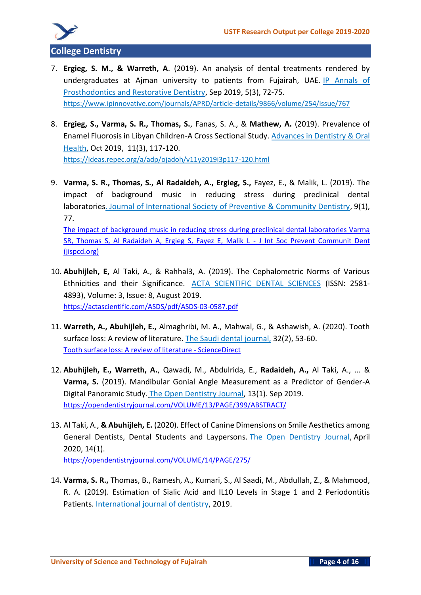

- 7. **Ergieg, S. M., & Warreth, A**. (2019). An analysis of dental treatments rendered by undergraduates at Ajman university to patients from Fujairah, UAE. IP Annals of Prosthodontics and Restorative Dentistry, Sep 2019, 5(3), 72-75. <https://www.ipinnovative.com/journals/APRD/article-details/9866/volume/254/issue/767>
- 8. **Ergieg, S., Varma, S. R., Thomas, S.**, Fanas, S. A., & **Mathew, A.** (2019). Prevalence of Enamel Fluorosis in Libyan Children-A Cross Sectional Study. Advances in Dentistry & Oral Health, Oct 2019, 11(3), 117-120. <https://ideas.repec.org/a/adp/ojadoh/v11y2019i3p117-120.html>
- 9. **Varma, S. R., Thomas, S., Al Radaideh, A., Ergieg, S.,** Fayez, E., & Malik, L. (2019). The impact of background music in reducing stress during preclinical dental laboratories. Journal of International Society of Preventive & Community Dentistry, 9(1), 77. [The impact of background music in reducing stress during preclinical dental laboratories Varma](https://www.jispcd.org/article.asp?issn=2231-0762;year=2019;volume=9;issue=1;spage=77;epage=82;aulast=Varma;type=0)  [SR, Thomas S, Al Radaideh A, Ergieg S, Fayez E, Malik L -](https://www.jispcd.org/article.asp?issn=2231-0762;year=2019;volume=9;issue=1;spage=77;epage=82;aulast=Varma;type=0) J Int Soc Prevent Communit Dent [\(jispcd.org\)](https://www.jispcd.org/article.asp?issn=2231-0762;year=2019;volume=9;issue=1;spage=77;epage=82;aulast=Varma;type=0)
- 10. **Abuhijleh, E,** Al Taki, A., & Rahhal3, A. (2019). The Cephalometric Norms of Various Ethnicities and their Significance. ACTA SCIENTIFIC DENTAL SCIENCES (ISSN: 2581- 4893), Volume: 3, Issue: 8, August 2019. <https://actascientific.com/ASDS/pdf/ASDS-03-0587.pdf>
- 11. **Warreth, A., Abuhijleh, E.,** Almaghribi, M. A., Mahwal, G., & Ashawish, A. (2020). Tooth surface loss: A review of literature. The Saudi dental journal, 32(2), 53-60. [Tooth surface loss: A review of literature -](https://www.sciencedirect.com/science/article/pii/S1013905219306571) ScienceDirect
- 12. **Abuhijleh, E., Warreth, A.**, Qawadi, M., Abdulrida, E., **Radaideh, A.,** Al Taki, A., ... & **Varma, S.** (2019). Mandibular Gonial Angle Measurement as a Predictor of Gender-A Digital Panoramic Study. The Open Dentistry Journal, 13(1). Sep 2019. <https://opendentistryjournal.com/VOLUME/13/PAGE/399/ABSTRACT/>
- 13. Al Taki, A., **& Abuhijleh, E.** (2020). Effect of Canine Dimensions on Smile Aesthetics among General Dentists, Dental Students and Laypersons. The Open Dentistry Journal, April 2020, 14(1).

<https://opendentistryjournal.com/VOLUME/14/PAGE/275/>

14. **Varma, S. R.,** Thomas, B., Ramesh, A., Kumari, S., Al Saadi, M., Abdullah, Z., & Mahmood, R. A. (2019). Estimation of Sialic Acid and IL10 Levels in Stage 1 and 2 Periodontitis Patients. International journal of dentistry, 2019.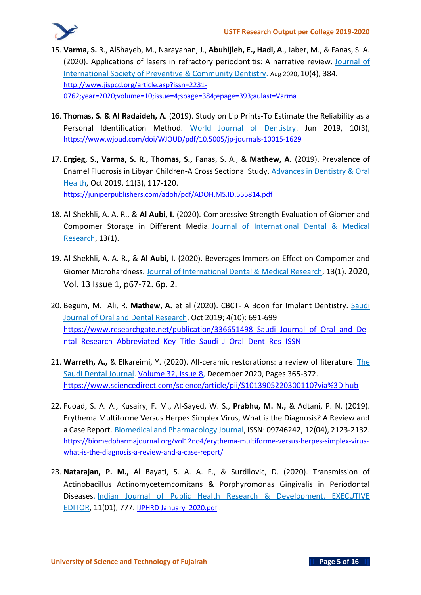- 15. **Varma, S.** R., AlShayeb, M., Narayanan, J., **Abuhijleh, E., Hadi, A**., Jaber, M., & Fanas, S. A. (2020). Applications of lasers in refractory periodontitis: A narrative review. Journal of International Society of Preventive & Community Dentistry. Aug 2020, 10(4), 384. [http://www.jispcd.org/article.asp?issn=2231-](http://www.jispcd.org/article.asp?issn=2231-0762;year=2020;volume=10;issue=4;spage=384;epage=393;aulast=Varma) [0762;year=2020;volume=10;issue=4;spage=384;epage=393;aulast=Varma](http://www.jispcd.org/article.asp?issn=2231-0762;year=2020;volume=10;issue=4;spage=384;epage=393;aulast=Varma)
- 16. **Thomas, S. & Al Radaideh, A**. (2019). Study on Lip Prints-To Estimate the Reliability as a Personal Identification Method. World Journal of Dentistry. Jun 2019, 10(3), <https://www.wjoud.com/doi/WJOUD/pdf/10.5005/jp-journals-10015-1629>
- 17. **Ergieg, S., Varma, S. R., Thomas, S.,** Fanas, S. A., & **Mathew, A.** (2019). Prevalence of Enamel Fluorosis in Libyan Children-A Cross Sectional Study. Advances in Dentistry & Oral Health, Oct 2019, 11(3), 117-120. <https://juniperpublishers.com/adoh/pdf/ADOH.MS.ID.555814.pdf>
- 18. Al-Shekhli, A. A. R., & **Al Aubi, I.** (2020). Compressive Strength Evaluation of Giomer and Compomer Storage in Different Media. Journal of International Dental & Medical Research, 13(1).
- 19. Al-Shekhli, A. A. R., & **Al Aubi, I.** (2020). Beverages Immersion Effect on Compomer and Giomer Microhardness. Journal of International Dental & Medical Research, 13(1). 2020, Vol. 13 Issue 1, p67-72. 6p. 2.
- 20. Begum, M. Ali, R. **Mathew, A.** et al (2020). CBCT- A Boon for Implant Dentistry. Saudi Journal of Oral and Dental Research, Oct 2019; 4(10): 691-699 https://www.researchgate.net/publication/336651498 Saudi Journal of Oral and De ntal Research Abbreviated Key Title Saudi J Oral Dent Res ISSN
- 21. **Warreth, A.,** & Elkareimi, Y. (2020). All-ceramic restorations: a review of literature. The Saudi Dental Journal. [Volume 32, Issue 8,](https://www.sciencedirect.com/science/journal/10139052/32/8) December 2020, Pages 365-372. <https://www.sciencedirect.com/science/article/pii/S1013905220300110?via%3Dihub>
- 22. Fuoad, S. A. A., Kusairy, F. M., Al-Sayed, W. S., **Prabhu, M. N.,** & Adtani, P. N. (2019). Erythema Multiforme Versus Herpes Simplex Virus, What is the Diagnosis? A Review and a Case Report. Biomedical and Pharmacology Journal, ISSN: 09746242, 12(04), 2123-2132. https://biomedpharmajournal.org/vol12no4/erythema-multiforme-versus-herpes-simplex-viruswhat-is-the-diagnosis-a-review-and-a-case-report/
- 23. **Natarajan, P. M.,** Al Bayati, S. A. A. F., & Surdilovic, D. (2020). Transmission of Actinobacillus Actinomycetemcomitans & Porphyromonas Gingivalis in Periodontal Diseases. Indian Journal of Public Health Research & Development, EXECUTIVE EDITOR, 11(01), 777. [IJPHRD January\\_2020.pdf](http://www.ijphrd.com/scripts/IJPHRD%20January_2020.pdf) .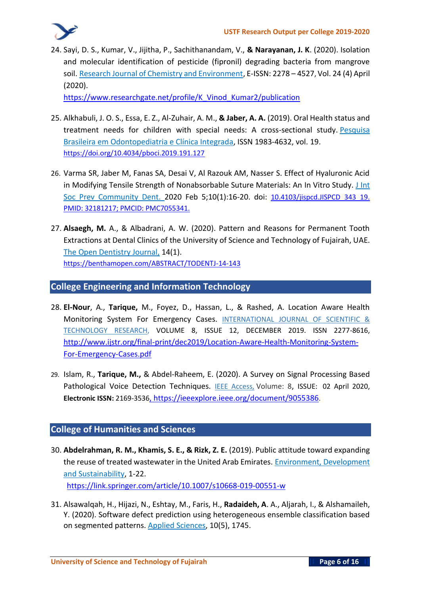24. Sayi, D. S., Kumar, V., Jijitha, P., Sachithanandam, V., **& Narayanan, J. K**. (2020). Isolation and molecular identification of pesticide (fipronil) degrading bacteria from mangrove soil. Research Journal of Chemistry and Environment, E-ISSN: 2278 – 4527, Vol. 24 (4) April (2020).

[https://www.researchgate.net/profile/K\\_Vinod\\_Kumar2/publication](https://www.researchgate.net/profile/K_Vinod_Kumar2/publication/340417259_Isolation_and_molecular_identification_of_pesticide_fipronil_degrading_bacteria_from_mangrove_soil/links/5f2e994a299bf13404ae2683/Isolation-and-molecular-identification-of-pesticide-fipronil-degrading-bacteria-from-mangrove-soil.pdf)

- 25. Alkhabuli, J. O. S., Essa, E. Z., Al-Zuhair, A. M., **& Jaber, A. A.** (2019). Oral Health status and treatment needs for children with special needs: A cross-sectional study. Pesquisa Brasileira em Odontopediatria e Clínica Integrada, ISSN 1983-4632, vol. 19. <https://doi.org/10.4034/pboci.2019.191.127>
- 26. Varma SR, Jaber M, Fanas SA, Desai V, Al Razouk AM, Nasser S. Effect of Hyaluronic Acid in Modifying Tensile Strength of Nonabsorbable Suture Materials: An In Vitro Study. J Int Soc Prev Community Dent. 2020 Feb 5;10(1):16-20. doi: 10.4103/jispcd.JISPCD 343 19. PMID: 32181217; PMCID: PMC7055341.
- 27. **Alsaegh, M.** A., & Albadrani, A. W. (2020). Pattern and Reasons for Permanent Tooth Extractions at Dental Clinics of the University of Science and Technology of Fujairah, UAE. The Open Dentistry Journal, 14(1). https://benthamopen.com/ABSTRACT/TODENTJ-14-143

#### **College Engineering and Information Technology**

- 28. **El-Nour**, A., **Tarique,** M., Foyez, D., Hassan, L., & Rashed, A. Location Aware Health Monitoring System For Emergency Cases. INTERNATIONAL JOURNAL OF SCIENTIFIC & TECHNOLOGY RESEARCH, VOLUME 8, ISSUE 12, DECEMBER 2019. ISSN 2277-8616, [http://www.ijstr.org/final-print/dec2019/Location-Aware-Health-Monitoring-System-](http://www.ijstr.org/final-print/dec2019/Location-Aware-Health-Monitoring-System-For-Emergency-Cases.pdf)[For-Emergency-Cases.pdf](http://www.ijstr.org/final-print/dec2019/Location-Aware-Health-Monitoring-System-For-Emergency-Cases.pdf)
- 29. Islam, R., **Tarique, M.,** & Abdel-Raheem, E. (2020). A Survey on Signal Processing Based Pathological Voice Detection Techniques. IEEE Access, Volume: 8, ISSUE: 02 April 2020, **Electronic ISSN:** 2169-3536,<https://ieeexplore.ieee.org/document/9055386>.

#### **College of Humanities and Sciences**

- 30. **Abdelrahman, R. M., Khamis, S. E., & Rizk, Z. E.** (2019). Public attitude toward expanding the reuse of treated wastewater in the United Arab Emirates. Environment, Development and Sustainability, 1-22. <https://link.springer.com/article/10.1007/s10668-019-00551-w>
- 31. Alsawalqah, H., Hijazi, N., Eshtay, M., Faris, H., **Radaideh, A**. A., Aljarah, I., & Alshamaileh, Y. (2020). Software defect prediction using heterogeneous ensemble classification based on segmented patterns. Applied Sciences, 10(5), 1745.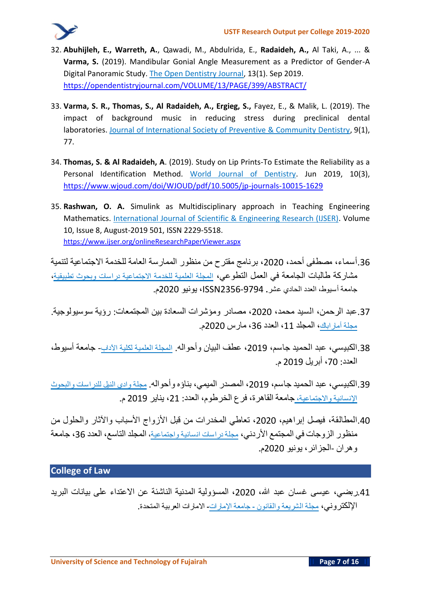- 32. **Abuhijleh, E., Warreth, A.**, Qawadi, M., Abdulrida, E., **Radaideh, A.,** Al Taki, A., ... & **Varma, S.** (2019). Mandibular Gonial Angle Measurement as a Predictor of Gender-A Digital Panoramic Study. The Open Dentistry Journal, 13(1). Sep 2019. <https://opendentistryjournal.com/VOLUME/13/PAGE/399/ABSTRACT/>
- 33. **Varma, S. R., Thomas, S., Al Radaideh, A., Ergieg, S.,** Fayez, E., & Malik, L. (2019). The impact of background music in reducing stress during preclinical dental laboratories. Journal of International Society of Preventive & Community Dentistry, 9(1), 77.
- 34. **Thomas, S. & Al Radaideh, A**. (2019). Study on Lip Prints-To Estimate the Reliability as a Personal Identification Method. World Journal of Dentistry. Jun 2019, 10(3), <https://www.wjoud.com/doi/WJOUD/pdf/10.5005/jp-journals-10015-1629>
- 35. **Rashwan, O. A.** Simulink as Multidisciplinary approach in Teaching Engineering Mathematics. International Journal of Scientific & Engineering Research (IJSER). Volume 10, Issue 8, August-2019 501, ISSN 2229-5518. <https://www.ijser.org/onlineResearchPaperViewer.aspx>

.36**أسماء، مصطفى أحمد، ،**2020 **برنامج مقترح من منظور الممارسة العامة للخدمة االجتماعية لتنمية مشاركة طالبات الجامعة في العمل التطوعي، المجلة العلمية للخدمة االجتماعية دراسات وبحوث تطبيقية، جامعة أسيوط، العدد الحادي عشر.** 2356-9794ISSN**، يونيو** 2020**م**.

- .37**عبد الرحمن، السيد محمد، ،**2020 **مصادر ومؤشرات السعادة بين المجتمعات** : **رؤية سوسيولوجية** . **مجلة أماراباك، المجلد ،**11 **العدد ،**36 **مارس** 2020**م**.
- .38**الكبيسي، عبد الحميد جاسم، ،**2019 **عطف البيان وأحواله**. **المجلة العلمية لكلية اآلداب جامعة أسيوط، العدد** : **،**70 **أبريل** 2019 **م**.
- .39**الكبيسي، عبد الحميد جاسم، ،**2019 **المصدر الميمي، بناؤه وأحواله**. **مجلة وادي النيل للدراسات والبحوث اإلنسانية واالجتماعية، جامعة القاهرة، فرع الخرطوم، العدد** : **،**21 **يناير** 2019 **م**.
- .40**المطالقة، فيصل إبراهيم، ،**2020 **تعاطي المخدرات من قبل األزواج األسباب واآلثار والحلول من منظور الزوجات في المجتمع األردني، مجلة دراسات انسانية واجتماعية، المجلد التاسع، العدد ،**36 **جامعة وهران** -**الجزائر، يونيو** 2020**م**.

## **College of Law**

.41**ربضي، عيسى غسان عبد هللا، ،**2020 **المسؤولية المدنية الناشئة عن االعتداء على بيانات البريد اإللكتروني، مجلة الشريعة والقانون - جامعة اإلمارات- االمارات العربية المتحدة**.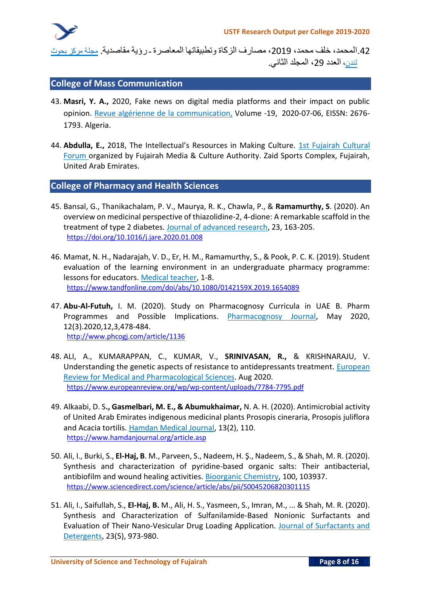.42**المحمد، خلف محمد، ،**2019 **مصارف الزكاة وتطبيقاتها المعاصرة ـ رؤية مقاصدية**. **مجلة مركز بحوث لندن، العدد ،**29 **المجلد الثاني** .

#### **College of Mass Communication**

- 43. **Masri, Y. A.,** 2020, Fake news on digital media platforms and their impact on public opinion. Revue algérienne de la communication, Volume -19, 2020-07-06, EISSN: 2676- 1793. Algeria.
- 44. Abdulla, E., 2018, The Intellectual's Resources in Making Culture. 1st Fujairah Cultural Forum organized by Fujairah Media & Culture Authority. Zaid Sports Complex, Fujairah, United Arab Emirates.

#### **College of Pharmacy and Health Sciences**

- 45. Bansal, G., Thanikachalam, P. V., Maurya, R. K., Chawla, P., & **Ramamurthy, S**. (2020). An overview on medicinal perspective of thiazolidine-2, 4-dione: A remarkable scaffold in the treatment of type 2 diabetes. Journal of advanced research, 23, 163-205. <https://doi.org/10.1016/j.jare.2020.01.008>
- 46. Mamat, N. H., Nadarajah, V. D., Er, H. M., Ramamurthy, S., & Pook, P. C. K. (2019). Student evaluation of the learning environment in an undergraduate pharmacy programme: lessons for educators. Medical teacher, 1-8. https://www.tandfonline.com/doi/abs/10.1080/0142159X.2019.1654089
- 47. **Abu-Al-Futuh,** I. M. (2020). Study on Pharmacognosy Curricula in UAE B. Pharm Programmes and Possible Implications. Pharmacognosy Journal, May 2020, 12(3).2020,12,3,478-484. <http://www.phcogj.com/article/1136>
- 48. ALI, A., KUMARAPPAN, C., KUMAR, V., **SRINIVASAN, R.,** & KRISHNARAJU, V. Understanding the genetic aspects of resistance to antidepressants treatment. European Review for Medical and Pharmacological Sciences. Aug 2020. <https://www.europeanreview.org/wp/wp-content/uploads/7784-7795.pdf>
- 49. Alkaabi, D. S**., Gasmelbari, M. E., & Abumukhaimar,** N. A. H. (2020). Antimicrobial activity of United Arab Emirates indigenous medicinal plants Prosopis cineraria, Prosopis juliflora and Acacia tortilis. Hamdan Medical Journal, 13(2), 110. [https://www.hamdanjournal.org/article.asp](https://www.hamdanjournal.org/article.asp?issn=2227-2437;year=2020;volume=13;issue=2;spage=110;epage=114;aulast=Alkaabi)
- 50. Ali, I., Burki, S., **El-Haj, B**. M., Parveen, S., Nadeem, H. Ş., Nadeem, S., & Shah, M. R. (2020). Synthesis and characterization of pyridine-based organic salts: Their antibacterial, antibiofilm and wound healing activities. Bioorganic Chemistry, 100, 103937. <https://www.sciencedirect.com/science/article/abs/pii/S0045206820301115>
- 51. Ali, I., Saifullah, S., **El‐Haj, B.** M., Ali, H. S., Yasmeen, S., Imran, M., ... & Shah, M. R. (2020). Synthesis and Characterization of Sulfanilamide‐Based Nonionic Surfactants and Evaluation of Their Nano‐Vesicular Drug Loading Application. Journal of Surfactants and Detergents, 23(5), 973-980.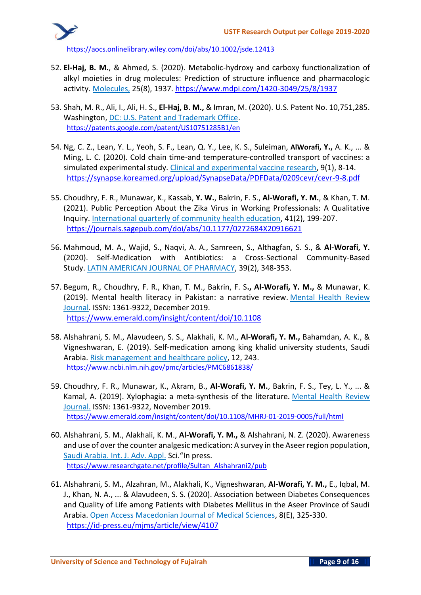<https://aocs.onlinelibrary.wiley.com/doi/abs/10.1002/jsde.12413>

- 52. **El-Haj, B. M.**, & Ahmed, S. (2020). Metabolic-hydroxy and carboxy functionalization of alkyl moieties in drug molecules: Prediction of structure influence and pharmacologic activity. Molecules, 25(8), 1937. <https://www.mdpi.com/1420-3049/25/8/1937>
- 53. Shah, M. R., Ali, I., Ali, H. S., **El-Haj, B. M.,** & Imran, M. (2020). U.S. Patent No. 10,751,285. Washington, DC: U.S. Patent and Trademark Office. https://patents.google.com/patent/US10751285B1/en
- 54. Ng, C. Z., Lean, Y. L., Yeoh, S. F., Lean, Q. Y., Lee, K. S., Suleiman, **AlWorafi, Y.,** A. K., ... & Ming, L. C. (2020). Cold chain time-and temperature-controlled transport of vaccines: a simulated experimental study. Clinical and experimental vaccine research, 9(1), 8-14. <https://synapse.koreamed.org/upload/SynapseData/PDFData/0209cevr/cevr-9-8.pdf>
- 55. Choudhry, F. R., Munawar, K., Kassab, **Y. W.**, Bakrin, F. S., **Al-Worafi, Y. M.**, & Khan, T. M. (2021). Public Perception About the Zika Virus in Working Professionals: A Qualitative Inquiry. International quarterly of community health education, 41(2), 199-207. <https://journals.sagepub.com/doi/abs/10.1177/0272684X20916621>
- 56. Mahmoud, M. A., Wajid, S., Naqvi, A. A., Samreen, S., Althagfan, S. S., & **Al-Worafi, Y.** (2020). Self-Medication with Antibiotics: a Cross-Sectional Community-Based Study. LATIN AMERICAN JOURNAL OF PHARMACY, 39(2), 348-353.
- 57. Begum, R., Choudhry, F. R., Khan, T. M., Bakrin, F. S**., Al-Worafi, Y. M.,** & Munawar, K. (2019). Mental health literacy in Pakistan: a narrative review. Mental Health Review Journal. ISSN: 1361-9322, December 2019. [https://www.emerald.com/insight/content/doi/10.1108](https://www.emerald.com/insight/content/doi/10.1108/MHRJ-08-2019-0026/full/html)
- 58. Alshahrani, S. M., Alavudeen, S. S., Alakhali, K. M., **Al-Worafi, Y. M.,** Bahamdan, A. K., & Vigneshwaran, E. (2019). Self-medication among king khalid university students, Saudi Arabia. Risk management and healthcare policy, 12, 243. <https://www.ncbi.nlm.nih.gov/pmc/articles/PMC6861838/>
- 59. Choudhry, F. R., Munawar, K., Akram, B., **Al-Worafi, Y. M.**, Bakrin, F. S., Tey, L. Y., ... & Kamal, A. (2019). Xylophagia: a meta-synthesis of the literature. Mental Health Review Journal. ISSN: 1361-9322, November 2019. <https://www.emerald.com/insight/content/doi/10.1108/MHRJ-01-2019-0005/full/html>
- 60. Alshahrani, S. M., Alakhali, K. M., **Al-Worafi, Y. M.,** & Alshahrani, N. Z. (2020). Awareness and use of over the counter analgesic medication: A survey in the Aseer region population, Saudi Arabia. Int. J. Adv. Appl. Sci."In press. [https://www.researchgate.net/profile/Sultan\\_Alshahrani2/pub](https://www.researchgate.net/profile/Sultan_Alshahrani2/publication/341448547_Awareness_and_use_of_over_the_counter_analgesic_medication_A_survey_in_the_Aseer_region_population_Saudi_Arabia/links/5ec1d4a9458515626cb0a1f9/Awareness-and-use-of-over-the-counter-analgesic-medication-A-survey-in-the-Aseer-region-population-Saudi-Arabia.pdf)
- 61. Alshahrani, S. M., Alzahran, M., Alakhali, K., Vigneshwaran, **Al-Worafi, Y. M.,** E., Iqbal, M. J., Khan, N. A., ... & Alavudeen, S. S. (2020). Association between Diabetes Consequences and Quality of Life among Patients with Diabetes Mellitus in the Aseer Province of Saudi Arabia. Open Access Macedonian Journal of Medical Sciences, 8(E), 325-330. <https://id-press.eu/mjms/article/view/4107>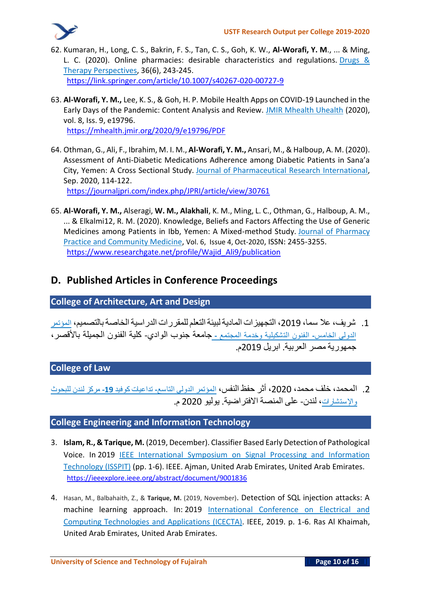

- 62. Kumaran, H., Long, C. S., Bakrin, F. S., Tan, C. S., Goh, K. W., **Al-Worafi, Y. M**., ... & Ming, L. C. (2020). Online pharmacies: desirable characteristics and regulations. Drugs & Therapy Perspectives, 36(6), 243-245. <https://link.springer.com/article/10.1007/s40267-020-00727-9>
- 63. **Al-Worafi, Y. M.,** Lee, K. S., & Goh, H. P. Mobile Health Apps on COVID-19 Launched in the Early Days of the Pandemic: Content Analysis and Review. JMIR Mhealth Uhealth (2020), vol. 8, Iss. 9, e19796. <https://mhealth.jmir.org/2020/9/e19796/PDF>
- 64. Othman, G., Ali, F., Ibrahim, M. I. M., **Al-Worafi, Y. M.,** Ansari, M., & Halboup, A. M. (2020). Assessment of Anti-Diabetic Medications Adherence among Diabetic Patients in Sana'a City, Yemen: A Cross Sectional Study. Journal of Pharmaceutical Research International, Sep. 2020, 114-122. <https://journaljpri.com/index.php/JPRI/article/view/30761>
- 65. **Al-Worafi, Y. M.,** Alseragi, **W. M., Alakhali**, K. M., Ming, L. C., Othman, G., Halboup, A. M., ... & Elkalmi12, R. M. (2020). Knowledge, Beliefs and Factors Affecting the Use of Generic Medicines among Patients in Ibb, Yemen: A Mixed-method Study. Journal of Pharmacy Practice and Community Medicine, Vol. 6, Issue 4, Oct-2020, ISSN: 2455-3255. [https://www.researchgate.net/profile/Wajid\\_Ali9/publication](https://www.researchgate.net/profile/Wajid_Ali9/publication/348501112_Knowledge_Beliefs_and_Factors_Affecting_the_use_of_Generic_Medicines_among_Patients_in_Ibb_Yemen_A_Mixed-method_Study/links/6001803692851c13fe10e4b7/Knowledge-Beliefs-and-Factors-Affecting-the-use-of-Generic-Medicines-among-Patients-in-Ibb-Yemen-A-Mixed-method-Study.pdf)

## **D. Published Articles in Conference Proceedings**

#### **College of Architecture, Art and Design**

.1 **شريف، عال سما، ،**2019 **التجهيزات الماديةلبيئةالتعلم للمقررات الدراسيةالخاصةبالتصميم، المؤتمر الدولي الخامس- الفنون التشكيلية وخدمة المجتمع - جامعة جنوب الوادي**- **كلية الفنون الجميلة باألقصر، جمهورية مصر العربية** . **ابريل** 2019**م**.

### **College of Law**

.2 **المحمد، خلف محمد، ،**2020 **أثر حفظ النفس، المؤتمر الدولي التاسع- تداعيات كوفيد -19 مركز لندن للبحوث واإلستشارات، لندن**- **على المنصة االفتراضية**. **يوليو** 2020 **م**.

#### **College Engineering and Information Technology**

- 3. **Islam, R., & Tarique, M.** (2019, December). Classifier Based Early Detection of Pathological Voice. In 2019 IEEE International Symposium on Signal Processing and Information Technology (ISSPIT) (pp. 1-6). IEEE. Ajman, United Arab Emirates, United Arab Emirates. https://ieeexplore.ieee.org/abstract/document/9001836
- 4. Hasan, M., Balbahaith, Z., & **Tarique, M.** (2019, November). Detection of SQL injection attacks: A machine learning approach. In: 2019 International Conference on Electrical and Computing Technologies and Applications (ICECTA). IEEE, 2019. p. 1-6. Ras Al Khaimah, United Arab Emirates, United Arab Emirates.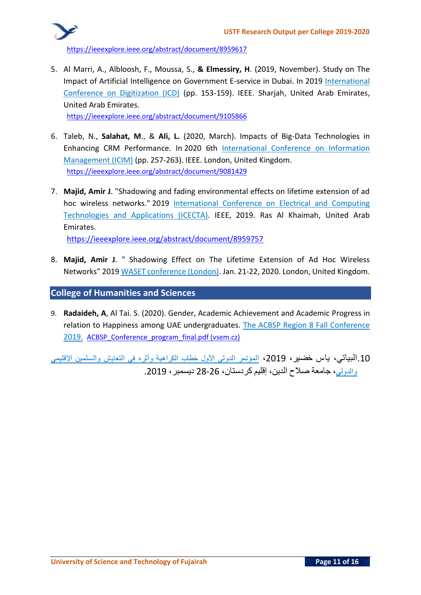

https://ieeexplore.ieee.org/abstract/document/8959617

5. Al Marri, A., Albloosh, F., Moussa, S., **& Elmessiry, H**. (2019, November). Study on The Impact of Artificial Intelligence on Government E-service in Dubai. In 2019 International Conference on Digitization (ICD) (pp. 153-159). IEEE. Sharjah, United Arab Emirates, United Arab Emirates. https://ieeexplore.ieee.org/abstract/document/9105866

6. Taleb, N., **Salahat, M**., & **Ali, L.** (2020, March). Impacts of Big-Data Technologies in Enhancing CRM Performance. In 2020 6th International Conference on Information Management (ICIM) (pp. 257-263). IEEE. London, United Kingdom.

https://ieeexplore.ieee.org/abstract/document/9081429

7. **Majid, Amir J**. "Shadowing and fading environmental effects on lifetime extension of ad hoc wireless networks." 2019 International Conference on Electrical and Computing Technologies and Applications (ICECTA). IEEE, 2019. Ras Al Khaimah, United Arab Emirates.

<https://ieeexplore.ieee.org/abstract/document/8959757>

8. **Majid, Amir J**. " Shadowing Effect on The Lifetime Extension of Ad Hoc Wireless Networks" 2019 WASET conference (London). Jan. 21-22, 2020. London, United Kingdom.

#### **College of Humanities and Sciences**

9. **Radaideh, A**, Al Tai. S. (2020). Gender, Academic Achievement and Academic Progress in relation to Happiness among UAE undergraduates. The ACBSP Region 8 Fall Conference 2019. ACBSP Conference program final.pdf (vsem.cz)

.10**البياتي، ياس خضير، ،**2019 **المؤتمر الدولي األول خطاب الكراهية وأثره في التعايش والسلمين اإلقليمي والدولي، جامعة صالح الدين، إقليم كردستان،** 28-26 **ديسمبر،** .2019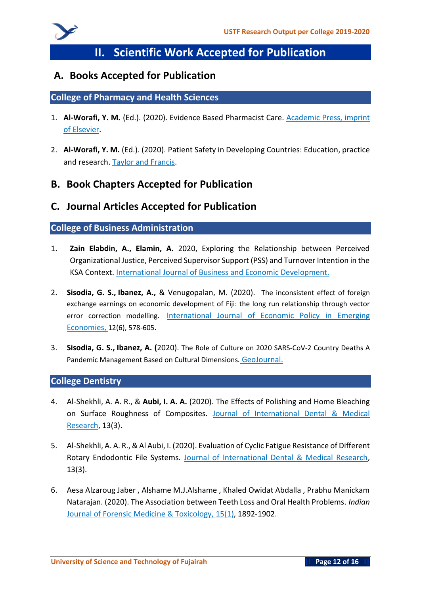

# **II. Scientific Work Accepted for Publication**

## **A. Books Accepted for Publication**

#### **College of Pharmacy and Health Sciences**

- 1. **Al-Worafi, Y. M.** (Ed.). (2020). Evidence Based Pharmacist Care. Academic Press, imprint of Elsevier.
- 2. **Al-Worafi, Y. M.** (Ed.). (2020). Patient Safety in Developing Countries: Education, practice and research. Taylor and Francis.

## **B. Book Chapters Accepted for Publication**

### **C. Journal Articles Accepted for Publication**

#### **College of Business Administration**

- 1. **Zain Elabdin, A., Elamin, A.** 2020, Exploring the Relationship between Perceived Organizational Justice, Perceived Supervisor Support (PSS) and Turnover Intention in the KSA Context. International Journal of Business and Economic Development.
- 2. **Sisodia, G. S., Ibanez, A.,** & Venugopalan, M. (2020). The inconsistent effect of foreign exchange earnings on economic development of Fiji: the long run relationship through vector error correction modelling. International Journal of Economic Policy in Emerging Economies, 12(6), 578-605.
- 3. **Sisodia, G. S., Ibanez, A. (**2020). The Role of Culture on 2020 SARS-CoV-2 Country Deaths A Pandemic Management Based on Cultural Dimensions. GeoJournal.

#### **College Dentistry**

- 4. Al-Shekhli, A. A. R., & **Aubi, I. A. A.** (2020). The Effects of Polishing and Home Bleaching on Surface Roughness of Composites. Journal of International Dental & Medical Research, 13(3).
- 5. Al-Shekhli, A. A. R., & Al Aubi, I. (2020). Evaluation of Cyclic Fatigue Resistance of Different Rotary Endodontic File Systems. Journal of International Dental & Medical Research, 13(3).
- 6. Aesa Alzaroug Jaber , Alshame M.J.Alshame , Khaled Owidat Abdalla , Prabhu Manickam Natarajan. (2020). The Association between Teeth Loss and Oral Health Problems. *Indian*  Journal of Forensic Medicine & Toxicology, 15(1), 1892-1902.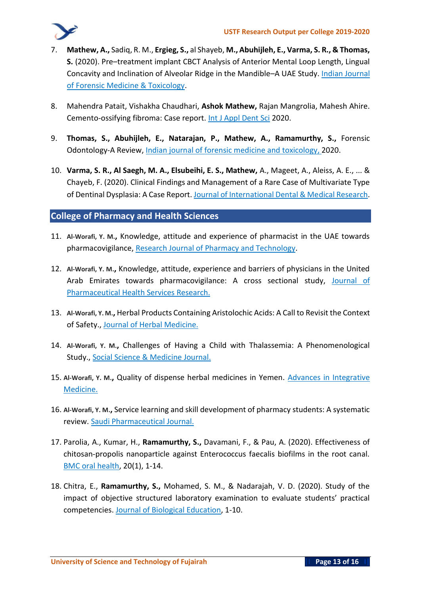

- 7. **Mathew, A.,** Sadiq, R. M., **Ergieg, S.,** al Shayeb, **M., Abuhijleh, E., Varma, S. R., & Thomas, S.** (2020). Pre–treatment implant CBCT Analysis of Anterior Mental Loop Length, Lingual Concavity and Inclination of Alveolar Ridge in the Mandible–A UAE Study. Indian Journal of Forensic Medicine & Toxicology.
- 8. Mahendra Patait, Vishakha Chaudhari, **Ashok Mathew,** Rajan Mangrolia, Mahesh Ahire. Cemento-ossifying fibroma: Case report. Int J Appl Dent Sci 2020.
- 9. **Thomas, S., Abuhijleh, E., Natarajan, P., Mathew, A., Ramamurthy, S.,** Forensic Odontology-A Review, Indian journal of forensic medicine and toxicology, 2020.
- 10. **Varma, S. R., Al Saegh, M. A., Elsubeihi, E. S., Mathew,** A., Mageet, A., Aleiss, A. E., ... & Chayeb, F. (2020). Clinical Findings and Management of a Rare Case of Multivariate Type of Dentinal Dysplasia: A Case Report. Journal of International Dental & Medical Research.

#### **College of Pharmacy and Health Sciences**

- 11. **Al-Worafi, Y. M.,** Knowledge, attitude and experience of pharmacist in the UAE towards pharmacovigilance, Research Journal of Pharmacy and Technology.
- 12. **Al-Worafi, Y. M.,** Knowledge, attitude, experience and barriers of physicians in the United Arab Emirates towards pharmacovigilance: A cross sectional study, Journal of Pharmaceutical Health Services Research.
- 13. **Al-Worafi, Y. M.,** Herbal Products Containing Aristolochic Acids: A Call to Revisit the Context of Safety., Journal of Herbal Medicine.
- 14. **Al-Worafi, Y. M.,** Challenges of Having a Child with Thalassemia: A Phenomenological Study., Social Science & Medicine Journal.
- 15. **Al-Worafi, Y. M.,** Quality of dispense herbal medicines in Yemen. Advances in Integrative Medicine.
- 16. **Al-Worafi, Y. M.,** Service learning and skill development of pharmacy students: A systematic review. Saudi Pharmaceutical Journal.
- 17. Parolia, A., Kumar, H., **Ramamurthy, S.,** Davamani, F., & Pau, A. (2020). Effectiveness of chitosan-propolis nanoparticle against Enterococcus faecalis biofilms in the root canal. BMC oral health, 20(1), 1-14.
- 18. Chitra, E., **Ramamurthy, S.,** Mohamed, S. M., & Nadarajah, V. D. (2020). Study of the impact of objective structured laboratory examination to evaluate students' practical competencies. Journal of Biological Education, 1-10.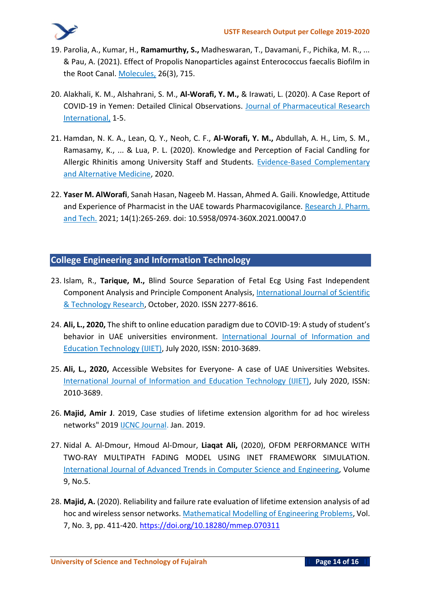- 19. Parolia, A., Kumar, H., **Ramamurthy, S.,** Madheswaran, T., Davamani, F., Pichika, M. R., ... & Pau, A. (2021). Effect of Propolis Nanoparticles against Enterococcus faecalis Biofilm in the Root Canal. Molecules, 26(3), 715.
- 20. Alakhali, K. M., Alshahrani, S. M., **Al-Worafi, Y. M.,** & Irawati, L. (2020). A Case Report of COVID-19 in Yemen: Detailed Clinical Observations. Journal of Pharmaceutical Research International, 1-5.
- 21. Hamdan, N. K. A., Lean, Q. Y., Neoh, C. F., **Al-Worafi, Y. M.,** Abdullah, A. H., Lim, S. M., Ramasamy, K., ... & Lua, P. L. (2020). Knowledge and Perception of Facial Candling for Allergic Rhinitis among University Staff and Students. Evidence-Based Complementary and Alternative Medicine, 2020.
- 22. **Yaser M. AlWorafi**, Sanah Hasan, Nageeb M. Hassan, Ahmed A. Gaili. Knowledge, Attitude and Experience of Pharmacist in the UAE towards Pharmacovigilance. Research J. Pharm. and Tech. 2021; 14(1):265-269. doi: 10.5958/0974-360X.2021.00047.0

#### **College Engineering and Information Technology**

- 23. Islam, R., **Tarique, M.,** Blind Source Separation of Fetal Ecg Using Fast Independent Component Analysis and Principle Component Analysis, International Journal of Scientific & Technology Research, October, 2020. ISSN 2277-8616.
- 24. **Ali, L., 2020,** The shift to online education paradigm due to COVID-19: A study of student's behavior in UAE universities environment. International Journal of Information and Education Technology (IJIET), July 2020, ISSN: 2010-3689.
- 25. **Ali, L., 2020,** Accessible Websites for Everyone- A case of UAE Universities Websites. International Journal of Information and Education Technology (IJIET), July 2020, ISSN: 2010-3689.
- 26. **Majid, Amir J**. 2019, Case studies of lifetime extension algorithm for ad hoc wireless networks" 2019 IJCNC Journal. Jan. 2019.
- 27. Nidal A. Al-Dmour, Hmoud Al-Dmour, **Liaqat Ali,** (2020), OFDM PERFORMANCE WITH TWO-RAY MULTIPATH FADING MODEL USING INET FRAMEWORK SIMULATION. International Journal of Advanced Trends in Computer Science and Engineering, Volume 9, No.5.
- 28. **Majid, A.** (2020). Reliability and failure rate evaluation of lifetime extension analysis of ad hoc and wireless sensor networks. Mathematical Modelling of Engineering Problems, Vol. 7, No. 3, pp. 411-420[. https://doi.org/10.18280/mmep.070311](https://doi.org/10.18280/mmep.070311)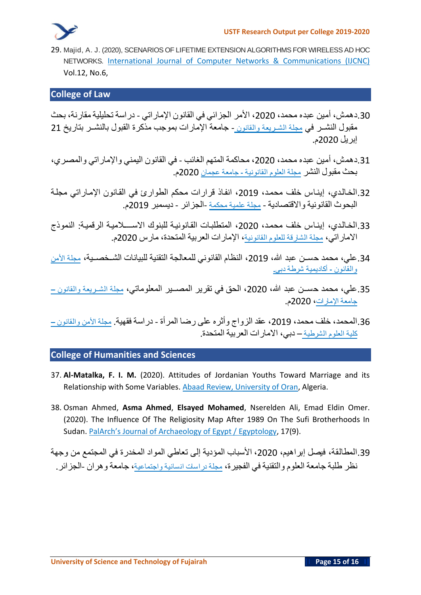

29. **Majid, A. J. (2020), SCENARIOS OF LIFETIME EXTENSION ALGORITHMS FOR WIRELESS AD HOC NETWORKS.** International Journal of Computer Networks & Communications (IJCNC) Vol.12, No.6,

#### **College of Law**

- .30**دهمش، أمين عبده محمد، ،**2020 **األمر الجزائي في القانون اإلماراتي دراسة تحليلية مقارنة، بحث مقبول النشــر في مجلة الشــريعة والقانون** - **جامعة اإلمارات بموجب مذكرة القبول بالنشــر بتاريخ** 21 **إبريل** 2020**م**.
- .31**دهمش، أمين عبده محمد، ،**2020 **محاكمة المتهم الغائب في القانون اليمني واإلماراتي والمصـري ، بحث مقبول النشر مجلة العلوم القانونية - جامعة عجمان** 2020**م**.
- .32**الخـالـدي، إينـاس خلف محمـد، ،**2019 **انفـاذ قرارات محكم الطوارئ في القـانون اإلمـاراتي مجلـة البحوث القانونية واالقتصادية** - **مجلة علمية محكمة** -**الجزائر** - **ديسمبر** 2019**م**.
- .33**الخـالـدي، إينـاس خلف محمـد، ،**2020 **المتطلبـات القـانونيـة للبنوك االســــالميـة الرقميـة**: **النموذج االماراتي، مجلة الشارقة للعلوم القانونية، اإلمارات العربية المتحدة، مارس** 2020**م**.
- .34**علي، محمد حســن عبد هللا، ،**2019 **النظام القانوني للمعالجة التقنية للبيانات الشــخصــية، مجلة األمن والقانون - أكاديمية شرطة دبي.**
- .35**علي، محمد حســن عبد هللا، ،**2020 **الحق في تقرير المصــير المعلوماتي، مجلة الشــريعة والقانون – جامعة اإلمارات،** 2020**م**.
- .36**المحمد، خلف محمد، ،**2019 **عقد الزواج وأثره على رضا المرأة دراسة فقهية**. **مجلة األمن والقانون – كلية العلوم الشرطية** – **دبي، االمارات العربية المتحدة**.

#### **College of Humanities and Sciences**

- 37. **Al-Matalka, F. I. M.** (2020). Attitudes of Jordanian Youths Toward Marriage and its Relationship with Some Variables. Abaad Review, University of Oran, Algeria.
- 38. Osman Ahmed, **Asma Ahmed**, **Elsayed Mohamed**, Nserelden Ali, Emad Eldin Omer. (2020). The Influence Of The Religiosity Map After 1989 On The Sufi Brotherhoods In Sudan. PalArch's Journal of Archaeology of Egypt / Egyptology, 17(9).
- .39**المطالقة، فيصل إبراهيم، ،**2020 **األسباب المؤدية إلى تعاطي المواد المخدرة في المجتمع من وجهة نظر طلبة جامعة العلوم والتقنية في الفجيرة، مجلة دراسات انسانية واجتماعية، جامعة وهران** -**الجزائر** .